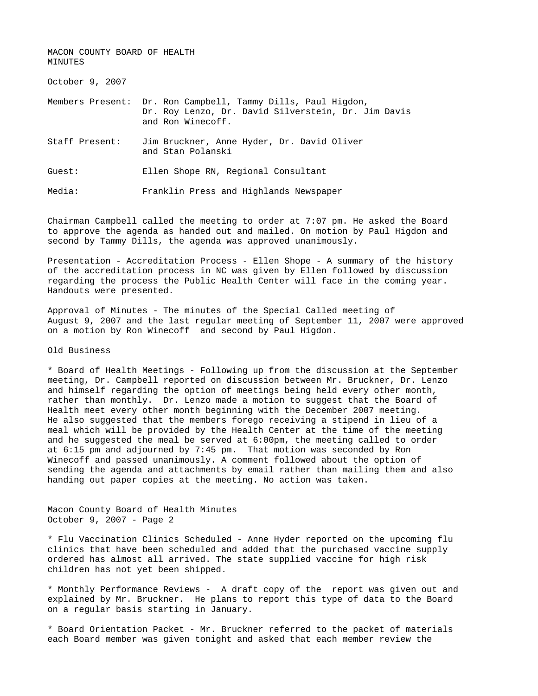MACON COUNTY BOARD OF HEALTH MINUTES

October 9, 2007

Members Present: Dr. Ron Campbell, Tammy Dills, Paul Higdon, Dr. Roy Lenzo, Dr. David Silverstein, Dr. Jim Davis and Ron Winecoff.

Staff Present: Jim Bruckner, Anne Hyder, Dr. David Oliver and Stan Polanski

Guest: Ellen Shope RN, Regional Consultant

Media: Franklin Press and Highlands Newspaper

Chairman Campbell called the meeting to order at 7:07 pm. He asked the Board to approve the agenda as handed out and mailed. On motion by Paul Higdon and second by Tammy Dills, the agenda was approved unanimously.

Presentation - Accreditation Process - Ellen Shope - A summary of the history of the accreditation process in NC was given by Ellen followed by discussion regarding the process the Public Health Center will face in the coming year. Handouts were presented.

Approval of Minutes - The minutes of the Special Called meeting of August 9, 2007 and the last regular meeting of September 11, 2007 were approved on a motion by Ron Winecoff and second by Paul Higdon.

Old Business

\* Board of Health Meetings - Following up from the discussion at the September meeting, Dr. Campbell reported on discussion between Mr. Bruckner, Dr. Lenzo and himself regarding the option of meetings being held every other month, rather than monthly. Dr. Lenzo made a motion to suggest that the Board of Health meet every other month beginning with the December 2007 meeting. He also suggested that the members forego receiving a stipend in lieu of a meal which will be provided by the Health Center at the time of the meeting and he suggested the meal be served at 6:00pm, the meeting called to order at 6:15 pm and adjourned by 7:45 pm. That motion was seconded by Ron Winecoff and passed unanimously. A comment followed about the option of sending the agenda and attachments by email rather than mailing them and also handing out paper copies at the meeting. No action was taken.

Macon County Board of Health Minutes October 9, 2007 - Page 2

\* Flu Vaccination Clinics Scheduled - Anne Hyder reported on the upcoming flu clinics that have been scheduled and added that the purchased vaccine supply ordered has almost all arrived. The state supplied vaccine for high risk children has not yet been shipped.

\* Monthly Performance Reviews - A draft copy of the report was given out and explained by Mr. Bruckner. He plans to report this type of data to the Board on a regular basis starting in January.

\* Board Orientation Packet - Mr. Bruckner referred to the packet of materials each Board member was given tonight and asked that each member review the